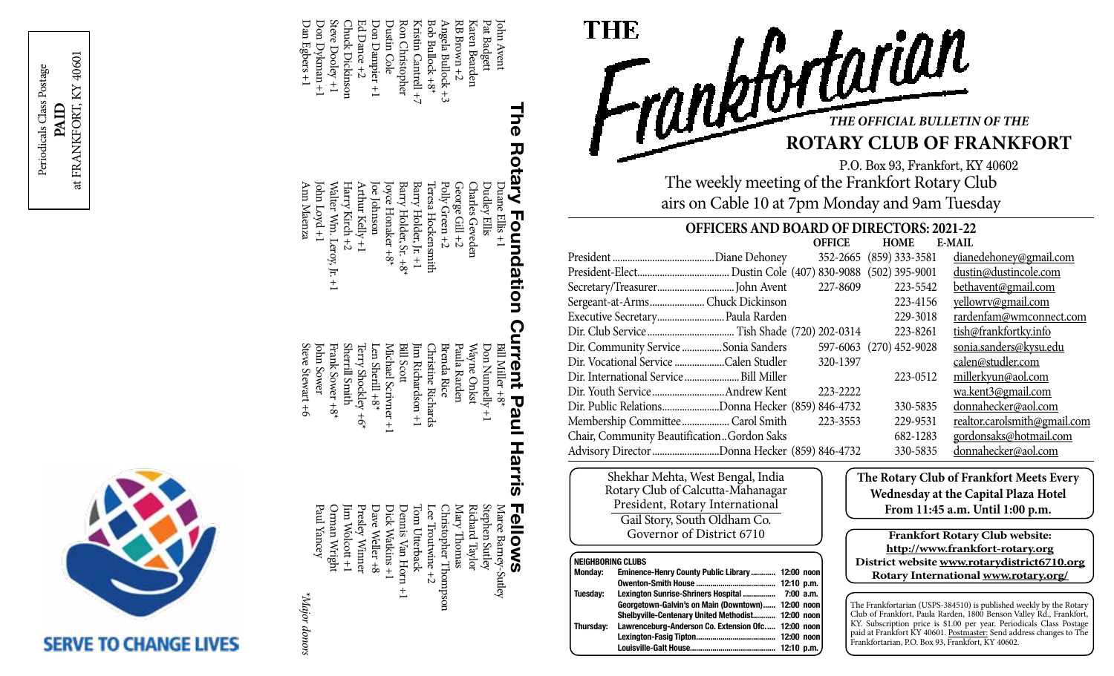



\*Major donors *\*Major donors*

Ann Maenza Walter Wm. Leroy, Jr. +1<br>John Loyd +1 John Loyd +1 Walter Wm. Leroy, Jr. +1 Harry Kirch +2 Arthur Kelly +1 Joe Johnson Joyce Honaker +8\* Barry Holder, Sr. +8\* Ann Maenza Harry Kirch +2 Arthur Kelly +1 oe Johnson loyce Honaker +8\* Barry Holder, Sr. +8\*

Dan Egbers +1 Don Dykman +1 Steve Dooley +1 Chuck Dickinson Ed Dance +2 Don Dampier +1 Dustin Cole Ron Christopher Kristin Cantrell +7 Bob Bullock +8\* Angela Bullock +3 RB Brown +2 Karen Bearden Pat Badgett John Avent

Dan Egbers +1 Don Dykman +1

Steve Dooley +1 **Chuck Dickinson** Ed Dance +2 Dustin Cole

Ron Christopher Kristin Cantrell +7 3ob Bullock +8\* Angela Bullock +3  $3B$  Brown  $+2$ Karen Bearden

Don Dampier +1

Frank Sower +8\*<br>John Sower Bill Scott Steve Stewart +6 Steve Stewart +6 Frank Sower +8\* Sherrill Smith Sherrill Smith Terry Shockley +6\* Len Sherill +8\* Michael Scrivner +1 Michael Scrivner +1 Jim Richardson +1 Christine Richards Brenda Rice Paula Rarden Wayne Onkst Don Nunnelly +1 Terry Shockley +6' lim Richardson +1 **Christine Richards** Brenda Rice Paula Rarden Wayne Onkst Don Nunnelly +1 en Sherill +8\*

Barry Holder, Jr. +1 Teresa Hockensmith Polly Green +2 George Gill +2 Charles Geveden Dudley Ellis

Barry Holder, Jr. +1

George Gill +2

**Charles Geveden** 

Polly Green +2

leresa Hockensmith

Jim Wolcott +1<br>Orman Wright<br>Paul Yancey Orman Wright Jim Wolcott +1 Presley Winner Dave Weller +8 Dick Watkins +1 Dennis Van Horn +1 Tom Utterback Lee Troutwine +2 Christopher Thompson Mary Thomas Richard Taylor Stephen Sutley Maree Barney-Sutley Presley Winner Dave Weller +8 Dick Watkins +1 Christopher Thompson Mary Thomas Richard Taylor Stephen Sutley Maree Barney-Sutley **Dennis Van Horn fom Utterback** ee Troutwine  $\pm$ 

# **The Rotary Foundation Current Paul Harris Fellows** The Rotary Foundation Current Paul Harris Duane Ellis +1  $D$ uane Ellis +1 Bill Miller +8\* Bill Miller +8\* **Fellows**



P.O. Box 93, Frankfort, KY 40602 The weekly meeting of the Frankfort Rotary Club airs on Cable 10 at 7pm Monday and 9am Tuesday

## **OFFICERS AND BOARD OF DIRECTORS: 2021-22**

|                                                  | <b>OFFICE</b> | <b>HOME</b>             | <b>E-MAIL</b>                |
|--------------------------------------------------|---------------|-------------------------|------------------------------|
|                                                  |               | 352-2665 (859) 333-3581 | dianedehoney@gmail.com       |
|                                                  |               |                         | dustin@dustincole.com        |
|                                                  | 227-8609      | 223-5542                | bethavent@gmail.com          |
| Sergeant-at-ArmsChuck Dickinson                  |               | 223-4156                | yellowrv@gmail.com           |
| Executive Secretary Paula Rarden                 |               | 229-3018                | rardenfam@wmconnect.com      |
|                                                  |               | 223-8261                | tish@frankfortky.info        |
| Dir. Community Service Sonia Sanders             |               | 597-6063 (270) 452-9028 | sonia.sanders@kysu.edu       |
| Dir. Vocational Service Calen Studler            | 320-1397      |                         | calen@studler.com            |
| Dir. International Service  Bill Miller          |               | 223-0512                | millerkyun@aol.com           |
|                                                  | 223-2222      |                         | wa.kent3@gmail.com           |
| Dir. Public RelationsDonna Hecker (859) 846-4732 |               | 330-5835                | donnahecker@aol.com          |
| Membership Committee  Carol Smith                | 223-3553      | 229-9531                | realtor.carolsmith@gmail.com |
| Chair, Community BeautificationGordon Saks       |               | 682-1283                | gordonsaks@hotmail.com       |
| Advisory Director Donna Hecker (859) 846-4732    |               | 330-5835                | donnahecker@aol.com          |

Shekhar Mehta, West Bengal, India Rotary Club of Calcutta-Mahanagar President, Rotary International Gail Story, South Oldham Co. Governor of District 6710

#### **NEIGHRORING CLUBS**

| нычноопти осоро |                                                    |  |  |
|-----------------|----------------------------------------------------|--|--|
| Monday:         | Eminence-Henry County Public Library 12:00 noon    |  |  |
|                 |                                                    |  |  |
| Tuesdav:        | Lexington Sunrise-Shriners Hospital  7:00 a.m.     |  |  |
|                 | Georgetown-Galvin's on Main (Downtown) 12:00 noon  |  |  |
|                 | Shelbyville-Centenary United Methodist 12:00 noon  |  |  |
| Thursdav:       | Lawrenceburg-Anderson Co. Extension Ofc 12:00 noon |  |  |
|                 |                                                    |  |  |
|                 |                                                    |  |  |
|                 |                                                    |  |  |

**The Rotary Club of Frankfort Meets Every Wednesday at the Capital Plaza Hotel From 11:45 a.m. Until 1:00 p.m.**

**Frankfort Rotary Club website: http://www.frankfort-rotary.org District website www.rotarydistrict6710.org Rotary International www.rotary.org/**

The Frankfortarian (USPS-384510) is published weekly by the Rotary Club of Frankfort, Paula Rarden, 1800 Benson Valley Rd., Frankfort, KY. Subscription price is \$1.00 per year. Periodicals Class Postage paid at Frankfort KY 40601. Postmaster: Send address changes to The Frankfortarian, P.O. Box 93, Frankfort, KY 40602.